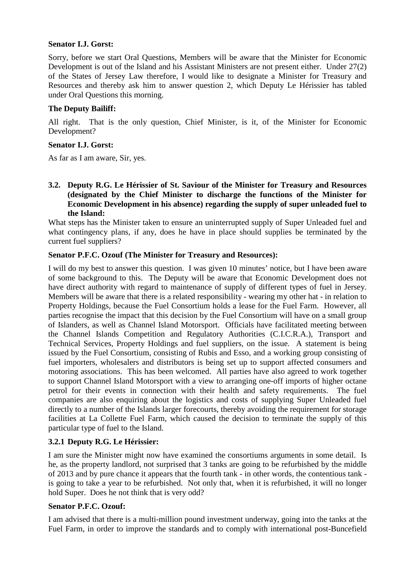### **Senator I.J. Gorst:**

Sorry, before we start Oral Questions, Members will be aware that the Minister for Economic Development is out of the Island and his Assistant Ministers are not present either. Under 27(2) of the States of Jersey Law therefore, I would like to designate a Minister for Treasury and Resources and thereby ask him to answer question 2, which Deputy Le Hérissier has tabled under Oral Questions this morning.

### **The Deputy Bailiff:**

All right. That is the only question, Chief Minister, is it, of the Minister for Economic Development?

### **Senator I.J. Gorst:**

As far as I am aware, Sir, yes.

### **3.2. Deputy R.G. Le Hérissier of St. Saviour of the Minister for Treasury and Resources (designated by the Chief Minister to discharge the functions of the Minister for Economic Development in his absence) regarding the supply of super unleaded fuel to the Island:**

What steps has the Minister taken to ensure an uninterrupted supply of Super Unleaded fuel and what contingency plans, if any, does he have in place should supplies be terminated by the current fuel suppliers?

### **Senator P.F.C. Ozouf (The Minister for Treasury and Resources):**

I will do my best to answer this question. I was given 10 minutes' notice, but I have been aware of some background to this. The Deputy will be aware that Economic Development does not have direct authority with regard to maintenance of supply of different types of fuel in Jersey. Members will be aware that there is a related responsibility - wearing my other hat - in relation to Property Holdings, because the Fuel Consortium holds a lease for the Fuel Farm. However, all parties recognise the impact that this decision by the Fuel Consortium will have on a small group of Islanders, as well as Channel Island Motorsport. Officials have facilitated meeting between the Channel Islands Competition and Regulatory Authorities (C.I.C.R.A.), Transport and Technical Services, Property Holdings and fuel suppliers, on the issue. A statement is being issued by the Fuel Consortium, consisting of Rubis and Esso, and a working group consisting of fuel importers, wholesalers and distributors is being set up to support affected consumers and motoring associations. This has been welcomed. All parties have also agreed to work together to support Channel Island Motorsport with a view to arranging one-off imports of higher octane petrol for their events in connection with their health and safety requirements. The fuel companies are also enquiring about the logistics and costs of supplying Super Unleaded fuel directly to a number of the Islands larger forecourts, thereby avoiding the requirement for storage facilities at La Collette Fuel Farm, which caused the decision to terminate the supply of this particular type of fuel to the Island.

## **3.2.1 Deputy R.G. Le Hérissier:**

I am sure the Minister might now have examined the consortiums arguments in some detail. Is he, as the property landlord, not surprised that 3 tanks are going to be refurbished by the middle of 2013 and by pure chance it appears that the fourth tank - in other words, the contentious tank is going to take a year to be refurbished. Not only that, when it is refurbished, it will no longer hold Super. Does he not think that is very odd?

## **Senator P.F.C. Ozouf:**

I am advised that there is a multi-million pound investment underway, going into the tanks at the Fuel Farm, in order to improve the standards and to comply with international post-Buncefield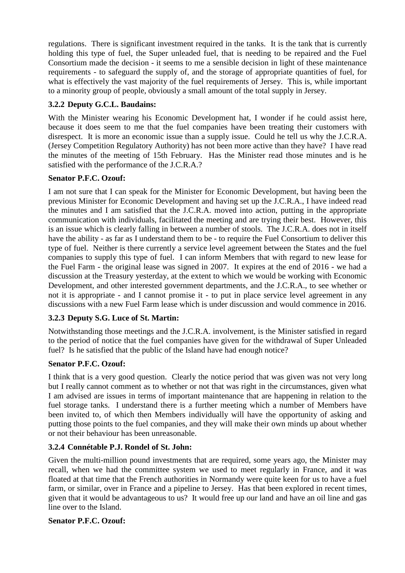regulations. There is significant investment required in the tanks. It is the tank that is currently holding this type of fuel, the Super unleaded fuel, that is needing to be repaired and the Fuel Consortium made the decision - it seems to me a sensible decision in light of these maintenance requirements - to safeguard the supply of, and the storage of appropriate quantities of fuel, for what is effectively the vast majority of the fuel requirements of Jersey. This is, while important to a minority group of people, obviously a small amount of the total supply in Jersey.

# **3.2.2 Deputy G.C.L. Baudains:**

With the Minister wearing his Economic Development hat, I wonder if he could assist here, because it does seem to me that the fuel companies have been treating their customers with disrespect. It is more an economic issue than a supply issue. Could he tell us why the J.C.R.A. (Jersey Competition Regulatory Authority) has not been more active than they have? I have read the minutes of the meeting of 15th February. Has the Minister read those minutes and is he satisfied with the performance of the J.C.R.A.?

## **Senator P.F.C. Ozouf:**

I am not sure that I can speak for the Minister for Economic Development, but having been the previous Minister for Economic Development and having set up the J.C.R.A., I have indeed read the minutes and I am satisfied that the J.C.R.A. moved into action, putting in the appropriate communication with individuals, facilitated the meeting and are trying their best. However, this is an issue which is clearly falling in between a number of stools. The J.C.R.A. does not in itself have the ability - as far as I understand them to be - to require the Fuel Consortium to deliver this type of fuel. Neither is there currently a service level agreement between the States and the fuel companies to supply this type of fuel. I can inform Members that with regard to new lease for the Fuel Farm - the original lease was signed in 2007. It expires at the end of 2016 - we had a discussion at the Treasury yesterday, at the extent to which we would be working with Economic Development, and other interested government departments, and the J.C.R.A., to see whether or not it is appropriate - and I cannot promise it - to put in place service level agreement in any discussions with a new Fuel Farm lease which is under discussion and would commence in 2016.

# **3.2.3 Deputy S.G. Luce of St. Martin:**

Notwithstanding those meetings and the J.C.R.A. involvement, is the Minister satisfied in regard to the period of notice that the fuel companies have given for the withdrawal of Super Unleaded fuel? Is he satisfied that the public of the Island have had enough notice?

# **Senator P.F.C. Ozouf:**

I think that is a very good question. Clearly the notice period that was given was not very long but I really cannot comment as to whether or not that was right in the circumstances, given what I am advised are issues in terms of important maintenance that are happening in relation to the fuel storage tanks. I understand there is a further meeting which a number of Members have been invited to, of which then Members individually will have the opportunity of asking and putting those points to the fuel companies, and they will make their own minds up about whether or not their behaviour has been unreasonable.

## **3.2.4 Connétable P.J. Rondel of St. John:**

Given the multi-million pound investments that are required, some years ago, the Minister may recall, when we had the committee system we used to meet regularly in France, and it was floated at that time that the French authorities in Normandy were quite keen for us to have a fuel farm, or similar, over in France and a pipeline to Jersey. Has that been explored in recent times, given that it would be advantageous to us? It would free up our land and have an oil line and gas line over to the Island.

## **Senator P.F.C. Ozouf:**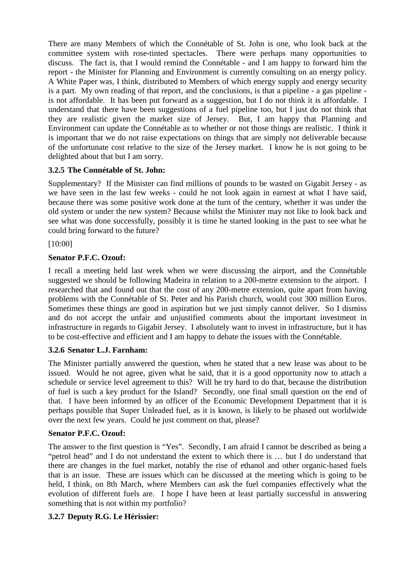There are many Members of which the Connétable of St. John is one, who look back at the committee system with rose-tinted spectacles. There were perhaps many opportunities to discuss. The fact is, that I would remind the Connétable - and I am happy to forward him the report - the Minister for Planning and Environment is currently consulting on an energy policy. A White Paper was, I think, distributed to Members of which energy supply and energy security is a part. My own reading of that report, and the conclusions, is that a pipeline - a gas pipeline is not affordable. It has been put forward as a suggestion, but I do not think it is affordable. I understand that there have been suggestions of a fuel pipeline too, but I just do not think that they are realistic given the market size of Jersey. But, I am happy that Planning and Environment can update the Connétable as to whether or not those things are realistic. I think it is important that we do not raise expectations on things that are simply not deliverable because of the unfortunate cost relative to the size of the Jersey market. I know he is not going to be delighted about that but I am sorry.

## **3.2.5 The Connétable of St. John:**

Supplementary? If the Minister can find millions of pounds to be wasted on Gigabit Jersey - as we have seen in the last few weeks - could he not look again in earnest at what I have said, because there was some positive work done at the turn of the century, whether it was under the old system or under the new system? Because whilst the Minister may not like to look back and see what was done successfully, possibly it is time he started looking in the past to see what he could bring forward to the future?

### [10:00]

## **Senator P.F.C. Ozouf:**

I recall a meeting held last week when we were discussing the airport, and the Connétable suggested we should be following Madeira in relation to a 200-metre extension to the airport. I researched that and found out that the cost of any 200-metre extension, quite apart from having problems with the Connétable of St. Peter and his Parish church, would cost 300 million Euros. Sometimes these things are good in aspiration but we just simply cannot deliver. So I dismiss and do not accept the unfair and unjustified comments about the important investment in infrastructure in regards to Gigabit Jersey. I absolutely want to invest in infrastructure, but it has to be cost-effective and efficient and I am happy to debate the issues with the Connétable.

## **3.2.6 Senator L.J. Farnham:**

The Minister partially answered the question, when he stated that a new lease was about to be issued. Would he not agree, given what he said, that it is a good opportunity now to attach a schedule or service level agreement to this? Will he try hard to do that, because the distribution of fuel is such a key product for the Island? Secondly, one final small question on the end of that. I have been informed by an officer of the Economic Development Department that it is perhaps possible that Super Unleaded fuel, as it is known, is likely to be phased out worldwide over the next few years. Could he just comment on that, please?

## **Senator P.F.C. Ozouf:**

The answer to the first question is "Yes". Secondly, I am afraid I cannot be described as being a "petrol head" and I do not understand the extent to which there is … but I do understand that there are changes in the fuel market, notably the rise of ethanol and other organic-based fuels that is an issue. These are issues which can be discussed at the meeting which is going to be held, I think, on 8th March, where Members can ask the fuel companies effectively what the evolution of different fuels are. I hope I have been at least partially successful in answering something that is not within my portfolio?

## **3.2.7 Deputy R.G. Le Hérissier:**